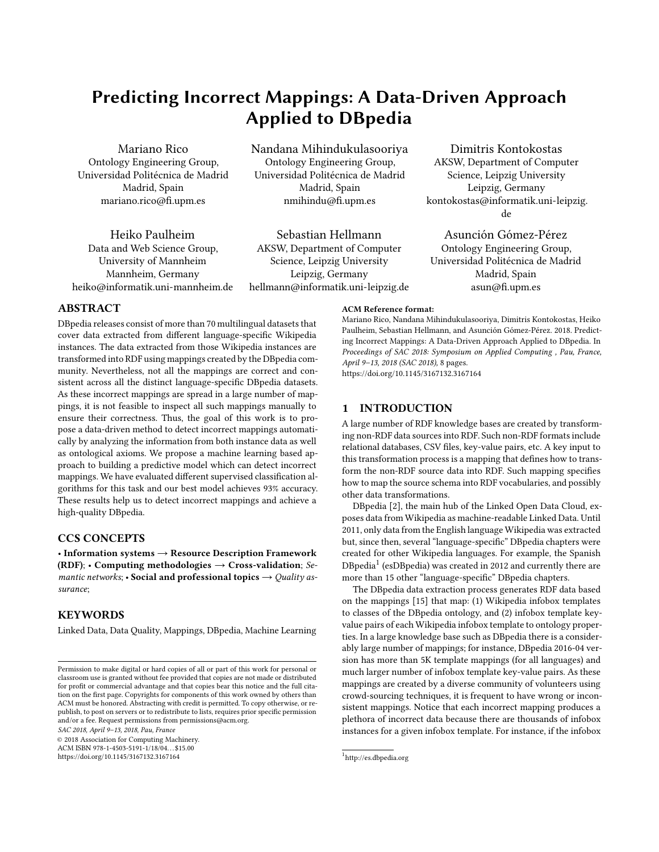# **Predicting Incorrect Mappings: A Data-Driven Approach Applied to DBpedia**

Mariano Rico Ontology Engineering Group, Universidad Politécnica de Madrid Madrid, Spain mariano.rico@fi.upm.es

Heiko Paulheim Data and Web Science Group, University of Mannheim Mannheim, Germany heiko@informatik.uni-mannheim.de Nandana Mihindukulasooriya Ontology Engineering Group, Universidad Politécnica de Madrid Madrid, Spain nmihindu@fi.upm.es

Sebastian Hellmann AKSW, Department of Computer Science, Leipzig University Leipzig, Germany hellmann@informatik.uni-leipzig.de

Dimitris Kontokostas AKSW, Department of Computer Science, Leipzig University Leipzig, Germany kontokostas@informatik.uni-leipzig. de

Asunción Gómez-Pérez Ontology Engineering Group, Universidad Politécnica de Madrid Madrid, Spain asun@fi.upm.es

## **ABSTRACT**

DBpedia releases consist of more than 70 multilingual datasets that cover data extracted from different language-specific Wikipedia instances. The data extracted from those Wikipedia instances are transformed into RDF using mappings created by the DBpedia community. Nevertheless, not all the mappings are correct and consistent across all the distinct language-specific DBpedia datasets. As these incorrect mappings are spread in a large number of mappings, it is not feasible to inspect all such mappings manually to ensure their correctness. Thus, the goal of this work is to propose a data-driven method to detect incorrect mappings automatically by analyzing the information from both instance data as well as ontological axioms. We propose a machine learning based approach to building a predictive model which can detect incorrect mappings. We have evaluated different supervised classification algorithms for this task and our best model achieves 93% accuracy. These results help us to detect incorrect mappings and achieve a high-quality DBpedia.

# **CCS CONCEPTS**

• **Information systems** → **Resource Description Framework (RDF)**; • **Computing methodologies** → **Cross-validation**; *Semantic networks*; • **Social and professional topics** → *Quality assurance*;

## **KEYWORDS**

Linked Data, Data Quality, Mappings, DBpedia, Machine Learning

*SAC 2018, April 9–13, 2018, Pau, France*

© 2018 Association for Computing Machinery.

ACM ISBN 978-1-4503-5191-1/18/04. . . \$15.00 <https://doi.org/10.1145/3167132.3167164>

**ACM Reference format:**

Mariano Rico, Nandana Mihindukulasooriya, Dimitris Kontokostas, Heiko Paulheim, Sebastian Hellmann, and Asunción Gómez-Pérez. 2018. Predicting Incorrect Mappings: A Data-Driven Approach Applied to DBpedia. In *Proceedings of SAC 2018: Symposium on Applied Computing , Pau, France, April 9–13, 2018 (SAC 2018),* [8](#page-7-0) pages.

<https://doi.org/10.1145/3167132.3167164>

## **1 INTRODUCTION**

A large number of RDF knowledge bases are created by transforming non-RDF data sources into RDF. Such non-RDF formats include relational databases, CSV files, key-value pairs, etc. A key input to this transformation process is a mapping that defines how to transform the non-RDF source data into RDF. Such mapping specifies how to map the source schema into RDF vocabularies, and possibly other data transformations.

DBpedia [[2](#page-7-1)], the main hub of the Linked Open Data Cloud, exposes data from Wikipedia as machine-readable Linked Data. Until 2011, only data from the English language Wikipedia was extracted but, since then, several "language-specific" DBpedia chapters were created for other Wikipedia languages. For example, the Spanish DBpedia<sup>[1](#page-0-0)</sup> (esDBpedia) was created in 2012 and currently there are more than 15 other "language-specific" DBpedia chapters.

The DBpedia data extraction process generates RDF data based on the mappings [\[15\]](#page-7-2) that map: (1) Wikipedia infobox templates to classes of the DBpedia ontology, and (2) infobox template keyvalue pairs of each Wikipedia infobox template to ontology properties. In a large knowledge base such as DBpedia there is a considerably large number of mappings; for instance, DBpedia 2016-04 version has more than 5K template mappings (for all languages) and much larger number of infobox template key-value pairs. As these mappings are created by a diverse community of volunteers using crowd-sourcing techniques, it is frequent to have wrong or inconsistent mappings. Notice that each incorrect mapping produces a plethora of incorrect data because there are thousands of infobox instances for a given infobox template. For instance, if the infobox

Permission to make digital or hard copies of all or part of this work for personal or classroom use is granted without fee provided that copies are not made or distributed for profit or commercial advantage and that copies bear this notice and the full citation on the first page. Copyrights for components of this work owned by others than ACM must be honored. Abstracting with credit is permitted. To copy otherwise, or republish, to post on servers or to redistribute to lists, requires prior specific permission and/or a fee. Request permissions from permissions@acm.org.

<span id="page-0-0"></span><sup>1</sup> <http://es.dbpedia.org>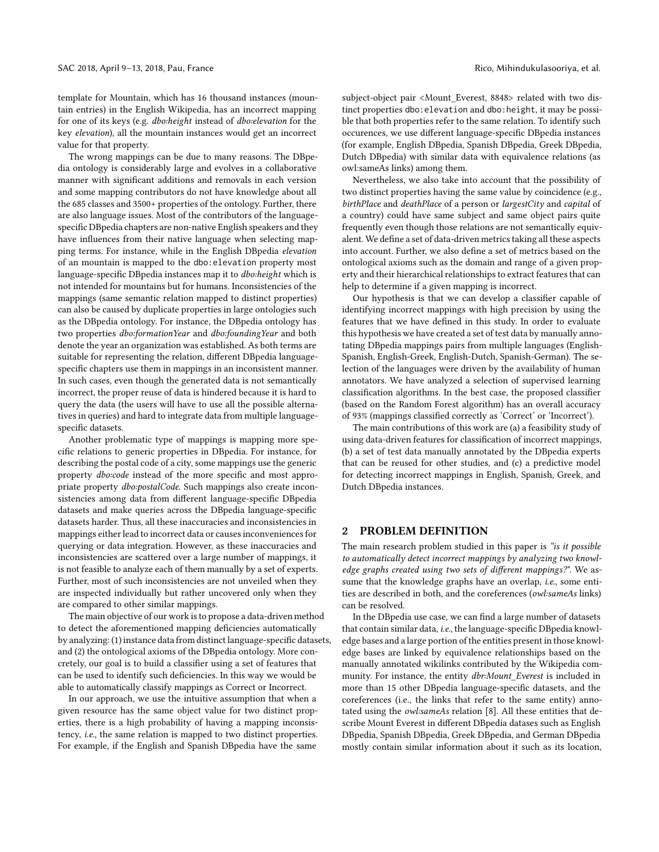template for Mountain, which has 16 thousand instances (mountain entries) in the English Wikipedia, has an incorrect mapping for one of its keys (e.g. *dbo:height* instead of *dbo:elevation* for the key *elevation*), all the mountain instances would get an incorrect value for that property.

The wrong mappings can be due to many reasons. The DBpedia ontology is considerably large and evolves in a collaborative manner with significant additions and removals in each version and some mapping contributors do not have knowledge about all the 685 classes and 3500+ properties of the ontology. Further, there are also language issues. Most of the contributors of the languagespecific DBpedia chapters are non-native English speakers and they have influences from their native language when selecting mapping terms. For instance, while in the English DBpedia *elevation* of an mountain is mapped to the dbo:elevation property most language-specific DBpedia instances map it to *dbo:height* which is not intended for mountains but for humans. Inconsistencies of the mappings (same semantic relation mapped to distinct properties) can also be caused by duplicate properties in large ontologies such as the DBpedia ontology. For instance, the DBpedia ontology has two properties *dbo:formationYear* and *dbo:foundingYear* and both denote the year an organization was established. As both terms are suitable for representing the relation, different DBpedia languagespecific chapters use them in mappings in an inconsistent manner. In such cases, even though the generated data is not semantically incorrect, the proper reuse of data is hindered because it is hard to query the data (the users will have to use all the possible alternatives in queries) and hard to integrate data from multiple languagespecific datasets.

Another problematic type of mappings is mapping more specific relations to generic properties in DBpedia. For instance, for describing the postal code of a city, some mappings use the generic property *dbo:code* instead of the more specific and most appropriate property *dbo:postalCode*. Such mappings also create inconsistencies among data from different language-specific DBpedia datasets and make queries across the DBpedia language-specific datasets harder. Thus, all these inaccuracies and inconsistencies in mappings either lead to incorrect data or causes inconveniences for querying or data integration. However, as these inaccuracies and inconsistencies are scattered over a large number of mappings, it is not feasible to analyze each of them manually by a set of experts. Further, most of such inconsistencies are not unveiled when they are inspected individually but rather uncovered only when they are compared to other similar mappings.

The main objective of our work is to propose a data-driven method to detect the aforementioned mapping deficiencies automatically by analyzing: (1) instance data from distinct language-specific datasets, and (2) the ontological axioms of the DBpedia ontology. More concretely, our goal is to build a classifier using a set of features that can be used to identify such deficiencies. In this way we would be able to automatically classify mappings as Correct or Incorrect.

In our approach, we use the intuitive assumption that when a given resource has the same object value for two distinct properties, there is a high probability of having a mapping inconsistency, *i.e.*, the same relation is mapped to two distinct properties. For example, if the English and Spanish DBpedia have the same

subject-object pair <sup>&</sup>lt;Mount\_Everest, 8848<sup>&</sup>gt; related with two distinct properties dbo:elevation and dbo:height, it may be possible that both properties refer to the same relation. To identify such occurences, we use different language-specific DBpedia instances (for example, English DBpedia, Spanish DBpedia, Greek DBpedia, Dutch DBpedia) with similar data with equivalence relations (as owl:sameAs links) among them.

Nevertheless, we also take into account that the possibility of two distinct properties having the same value by coincidence (e.g., *birthPlace* and *deathPlace* of a person or *largestCity* and *capital* of a country) could have same subject and same object pairs quite frequently even though those relations are not semantically equivalent. We define a set of data-driven metrics taking all these aspects into account. Further, we also define a set of metrics based on the ontological axioms such as the domain and range of a given property and their hierarchical relationships to extract features that can help to determine if a given mapping is incorrect.

Our hypothesis is that we can develop a classifier capable of identifying incorrect mappings with high precision by using the features that we have defined in this study. In order to evaluate this hypothesis we have created a set of test data by manually annotating DBpedia mappings pairs from multiple languages (English-Spanish, English-Greek, English-Dutch, Spanish-German). The selection of the languages were driven by the availability of human annotators. We have analyzed a selection of supervised learning classification algorithms. In the best case, the proposed classifier (based on the Random Forest algorithm) has an overall accuracy of 93% (mappings classified correctly as 'Correct' or 'Incorrect').

The main contributions of this work are (a) a feasibility study of using data-driven features for classification of incorrect mappings, (b) a set of test data manually annotated by the DBpedia experts that can be reused for other studies, and (c) a predictive model for detecting incorrect mappings in English, Spanish, Greek, and Dutch DBpedia instances.

#### **2 PROBLEM DEFINITION**

The main research problem studied in this paper is *"is it possible to automatically detect incorrect mappings by analyzing two knowledge graphs created using two sets of different mappings?"*. We assume that the knowledge graphs have an overlap, *i.e.*, some entities are described in both, and the coreferences (*owl:sameAs* links) can be resolved.

In the DBpedia use case, we can find a large number of datasets that contain similar data, *i.e.*, the language-specific DBpedia knowledge bases and a large portion of the entities present in those knowledge bases are linked by equivalence relationships based on the manually annotated wikilinks contributed by the Wikipedia community. For instance, the entity *dbr:Mount\_Everest* is included in more than 15 other DBpedia language-specific datasets, and the coreferences (i.e., the links that refer to the same entity) annotated using the *owl:sameAs* relation [\[8](#page-7-3)]. All these entities that describe Mount Everest in different DBpedia datases such as English DBpedia, Spanish DBpedia, Greek DBpedia, and German DBpedia mostly contain similar information about it such as its location,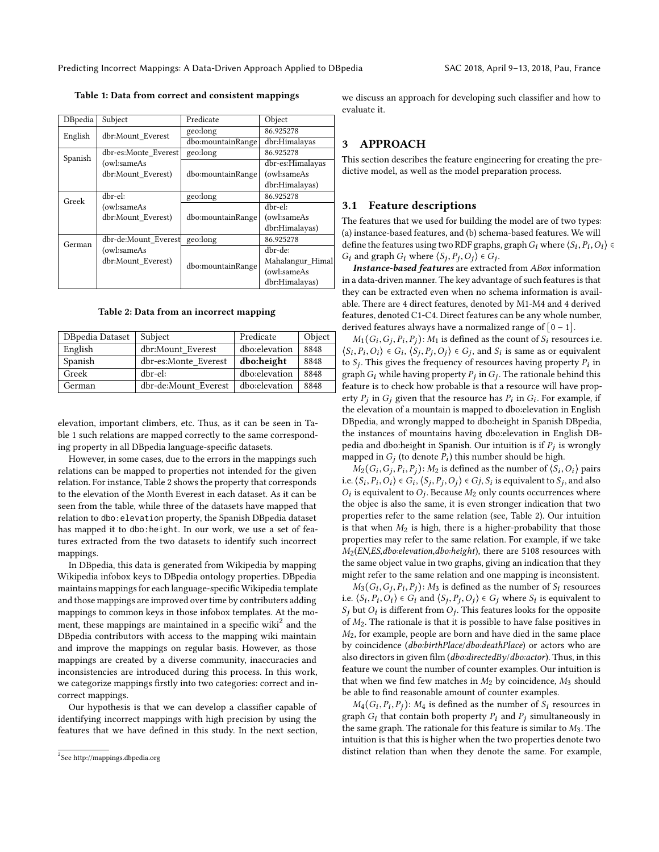<span id="page-2-0"></span>**Table 1: Data from correct and consistent mappings**

| DBpedia | Subject              | Predicate         | Object           |
|---------|----------------------|-------------------|------------------|
| English | dbr:Mount Everest    | geo:long          | 86.925278        |
|         |                      | dbo:mountainRange | dbr:Himalayas    |
| Spanish | dbr-es:Monte Everest | geo:long          | 86.925278        |
|         | (owl:sameAs          |                   | dbr-es:Himalayas |
|         | dbr:Mount Everest)   | dbo:mountainRange | (owl:sameAs      |
|         |                      |                   | dbr:Himalayas)   |
| Greek   | dbr-el:              | geo:long          | 86.925278        |
|         | (owl:sameAs          |                   | dbr-el:          |
|         | dbr:Mount Everest)   | dbo:mountainRange | (owl:sameAs      |
|         |                      |                   | dbr:Himalayas)   |
| German  | dbr-de:Mount Everest | geo:long          | 86.925278        |
|         | (owl:sameAs          |                   | dbr-de:          |
|         | dbr:Mount Everest)   |                   | Mahalangur Himal |
|         |                      | dbo:mountainRange | (owl:sameAs      |
|         |                      |                   | dbr:Himalayas)   |

**Table 2: Data from an incorrect mapping**

<span id="page-2-1"></span>

| DBpedia Dataset | Subject              | Predicate     | Object |
|-----------------|----------------------|---------------|--------|
| English         | dbr:Mount Everest    | dbo:elevation | 8848   |
| Spanish         | dbr-es:Monte Everest | dbo:height    | 8848   |
| Greek           | dbr-el:              | dbo:elevation | 8848   |
| German          | dbr-de:Mount Everest | dbo:elevation | 8848   |

elevation, important climbers, etc. Thus, as it can be seen in Table [1](#page-2-0) such relations are mapped correctly to the same corresponding property in all DBpedia language-specific datasets.

However, in some cases, due to the errors in the mappings such relations can be mapped to properties not intended for the given relation. For instance, Table [2](#page-2-1) shows the property that corresponds to the elevation of the Month Everest in each dataset. As it can be seen from the table, while three of the datasets have mapped that relation to dbo:elevation property, the Spanish DBpedia dataset has mapped it to dbo:height. In our work, we use a set of features extracted from the two datasets to identify such incorrect mappings.

In DBpedia, this data is generated from Wikipedia by mapping Wikipedia infobox keys to DBpedia ontology properties. DBpedia maintains mappings for each language-specific Wikipedia template and those mappings are improved over time by contributers adding mappings to common keys in those infobox templates. At the mo-ment, these mappings are maintained in a specific wiki<sup>[2](#page-2-2)</sup> and the DBpedia contributors with access to the mapping wiki maintain and improve the mappings on regular basis. However, as those mappings are created by a diverse community, inaccuracies and inconsistencies are introduced during this process. In this work, we categorize mappings firstly into two categories: correct and incorrect mappings.

Our hypothesis is that we can develop a classifier capable of identifying incorrect mappings with high precision by using the features that we have defined in this study. In the next section, we discuss an approach for developing such classifier and how to evaluate it.

#### **3 APPROACH**

This section describes the feature engineering for creating the predictive model, as well as the model preparation process.

#### **3.1 Feature descriptions**

The features that we used for building the model are of two types: (a) instance-based features, and (b) schema-based features. We will define the features using two RDF graphs, graph  $G_i$  where  $\langle S_i, P_i, O_i \rangle \in$  $G_i$  and graph  $G_i$  where  $\langle S_j, P_j, O_j \rangle \in G_j$ .

*Instance-based features* are extracted from *ABox* information in a data-driven manner. The key advantage of such features is that they can be extracted even when no schema information is available. There are 4 direct features, denoted by M1-M4 and 4 derived features, denoted C1-C4. Direct features can be any whole number, derived features always have a normalized range of  $[0 - 1]$ .

 $M_1(G_i, G_j, P_i, P_j)$ :  $M_1$  is defined as the count of  $S_i$  resources i.e.  $\langle S_i, P_i, O_i \rangle \in G_i$ ,  $\langle S_j, P_j, O_j \rangle \in G_j$ , and  $S_i$  is same as or equivalent to  $S_j$ . This gives the frequency of resources having property  $P_i$  in graph  $G_i$  while having property  $P_j$  in  $G_j$ . The rationale behind this feature is to check how probable is that a resource will have property  $P_j$  in  $G_j$  given that the resource has  $P_i$  in  $G_i$ . For example, if the elevation of a mountain is mapped to dbo:elevation in English DBpedia, and wrongly mapped to dbo:height in Spanish DBpedia, the instances of mountains having dbo:elevation in English DBpedia and dbo:height in Spanish. Our intuition is if *Pj* is wrongly mapped in  $G_j$  (to denote  $P_i$ ) this number should be high.

 $M_2(G_i, G_j, P_i, P_j)$ :  $M_2$  is defined as the number of  $\langle S_i, O_i \rangle$  pairs i.e.  $\langle S_i, P_i, O_i \rangle \in G_i$ ,  $\langle S_j, P_j, O_j \rangle \in G_j$ ,  $S_i$  is equivalent to  $S_j$ , and also  $O_i$  is equivalent to  $O_j$ . Because  $M_2$  only counts occurrences where the objec is also the same, it is even stronger indication that two properties refer to the same relation (see, Table [2\)](#page-2-1). Our intuition is that when  $M_2$  is high, there is a higher-probability that those properties may refer to the same relation. For example, if we take *M*2(*EN*,*ES*,*dbo:elevation*,*dbo:height*), there are 5108 resources with the same object value in two graphs, giving an indication that they might refer to the same relation and one mapping is inconsistent.

 $M_3(G_i, G_j, P_i, P_j)$ :  $M_3$  is defined as the number of  $S_i$  resources i.e.  $\langle S_i, P_i, O_i \rangle \in G_i$  and  $\langle S_j, P_j, O_j \rangle \in G_j$  where  $S_i$  is equivalent to  $S_i$ , but  $O_i$ , is different from  $O_i$ . This fecture lash for the equivalent  $S_j$  but  $O_i$  is different from  $O_j$ . This features looks for the opposite of  $M_2$ . The rationale is that it is possible to have false positives in *M*2, for example, people are born and have died in the same place by coincidence (*dbo:birthPlace*/*dbo:deathPlace*) or actors who are also directors in given film (*dbo:directedBy*/*dbo:actor*). Thus, in this feature we count the number of counter examples. Our intuition is that when we find few matches in *M*2 by coincidence, *M*3 should be able to find reasonable amount of counter examples.

 $M_4(G_i, P_i, P_j)$ :  $M_4$  is defined as the number of  $S_i$  resources in graph  $G_i$  that contain both property  $P_i$  and  $P_j$  simultaneously in the same graph. The rationale for this feature is similar to *M*3. The intuition is that this is higher when the two properties denote two distinct relation than when they denote the same. For example,

<span id="page-2-2"></span><sup>&</sup>lt;sup>2</sup>See <http://mappings.dbpedia.org>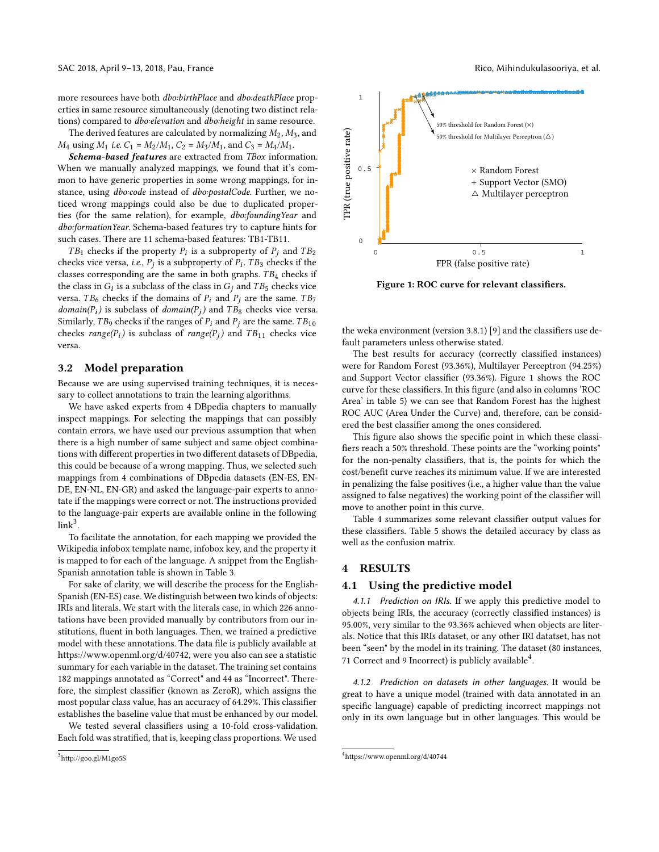more resources have both *dbo:birthPlace* and *dbo:deathPlace* properties in same resource simultaneously (denoting two distinct relations) compared to *dbo:elevation* and *dbo:height* in same resource.

The derived features are calculated by normalizing *M*2, *M*3, and *M*<sub>4</sub> using *M*<sub>1</sub> *i.e.*  $C_1 = M_2/M_1$ ,  $C_2 = M_3/M_1$ , and  $C_3 = M_4/M_1$ .

*Schema-based features* are extracted from *TBox* information. When we manually analyzed mappings, we found that it's common to have generic properties in some wrong mappings, for instance, using *dbo:code* instead of *dbo:postalCode*. Further, we noticed wrong mappings could also be due to duplicated properties (for the same relation), for example, *dbo:foundingYear* and *dbo:formationYear*. Schema-based features try to capture hints for such cases. There are 11 schema-based features: TB1-TB11.

*TB*<sup>1</sup> checks if the property  $P_i$  is a subproperty of  $P_j$  and  $TB_2$ checks vice versa, *i.e.*, *Pj* is a subproperty of *Pi* . *T B*3 checks if the classes corresponding are the same in both graphs. *T B*4 checks if the class in  $G_i$  is a subclass of the class in  $G_j$  and  $TB_5$  checks vice versa. *TB*<sup>6</sup> checks if the domains of  $P_i$  and  $P_j$  are the same. *TB*<sup>7</sup> *domain*( $P_i$ ) is subclass of *domain*( $P_j$ ) and  $TB_8$  checks vice versa. Similarly,  $TB_9$  checks if the ranges of  $P_i$  and  $P_j$  are the same.  $TB_{10}$ checks  $range(P_i)$  is subclass of  $range(P_j)$  and  $TB_{11}$  checks vice versa.

#### **3.2 Model preparation**

Because we are using supervised training techniques, it is necessary to collect annotations to train the learning algorithms.

We have asked experts from 4 DBpedia chapters to manually inspect mappings. For selecting the mappings that can possibly contain errors, we have used our previous assumption that when there is a high number of same subject and same object combinations with different properties in two different datasets of DBpedia, this could be because of a wrong mapping. Thus, we selected such mappings from 4 combinations of DBpedia datasets (EN-ES, EN-DE, EN-NL, EN-GR) and asked the language-pair experts to annotate if the mappings were correct or not. The instructions provided to the language-pair experts are available online in the following  $link<sup>3</sup>$  $link<sup>3</sup>$  $link<sup>3</sup>$ .

To facilitate the annotation, for each mapping we provided the Wikipedia infobox template name, infobox key, and the property it is mapped to for each of the language. A snippet from the English-Spanish annotation table is shown in Table [3](#page-4-0).

For sake of clarity, we will describe the process for the English-Spanish (EN-ES) case. We distinguish between two kinds of objects: IRIs and literals. We start with the literals case, in which 226 annotations have been provided manually by contributors from our institutions, fluent in both languages. Then, we trained a predictive model with these annotations. The data file is publicly available at <https://www.openml.org/d/40742>, were you also can see a statistic summary for each variable in the dataset. The training set contains 182 mappings annotated as "Correct" and 44 as "Incorrect". Therefore, the simplest classifier (known as ZeroR), which assigns the most popular class value, has an accuracy of 64.29%. This classifier establishes the baseline value that must be enhanced by our model.

We tested several classifiers using a 10-fold cross-validation. Each fold was stratified, that is, keeping class proportions. We used

<span id="page-3-1"></span>

**Figure 1: ROC curve for relevant classifiers.**

the weka environment (version 3.8.1) [[9](#page-7-4)] and the classifiers use default parameters unless otherwise stated.

The best results for accuracy (correctly classified instances) were for Random Forest (93.36%), Multilayer Perceptron (94.25%) and Support Vector classifier (93.36%). Figure [1](#page-3-1) shows the ROC curve for these classifiers. In this figure (and also in columns 'ROC Area' in table [5\)](#page-5-0) we can see that Random Forest has the highest ROC AUC (Area Under the Curve) and, therefore, can be considered the best classifier among the ones considered.

This figure also shows the specific point in which these classifiers reach a 50% threshold. These points are the "working points" for the non-penalty classifiers, that is, the points for which the cost/benefit curve reaches its minimum value. If we are interested in penalizing the false positives (i.e., a higher value than the value assigned to false negatives) the working point of the classifier will move to another point in this curve.

Table [4](#page-4-1) summarizes some relevant classifier output values for these classifiers. Table [5](#page-5-0) shows the detailed accuracy by class as well as the confusion matrix.

#### **4 RESULTS**

#### **4.1 Using the predictive model**

*4.1.1 Prediction on IRIs.* If we apply this predictive model to objects being IRIs, the accuracy (correctly classified instances) is 95.00%, very similar to the 93.36% achieved when objects are literals. Notice that this IRIs dataset, or any other IRI datatset, has not been "seen" by the model in its training. The dataset (80 instances, 71 Correct and 9 Incorrect) is publicly available $\rm ^4$  $\rm ^4$ .

*4.1.2 Prediction on datasets in other languages.* It would be great to have a unique model (trained with data annotated in an specific language) capable of predicting incorrect mappings not only in its own language but in other languages. This would be

<span id="page-3-0"></span><sup>3</sup> <http://goo.gl/M1go5S>

<span id="page-3-2"></span><sup>4</sup> <https://www.openml.org/d/40744>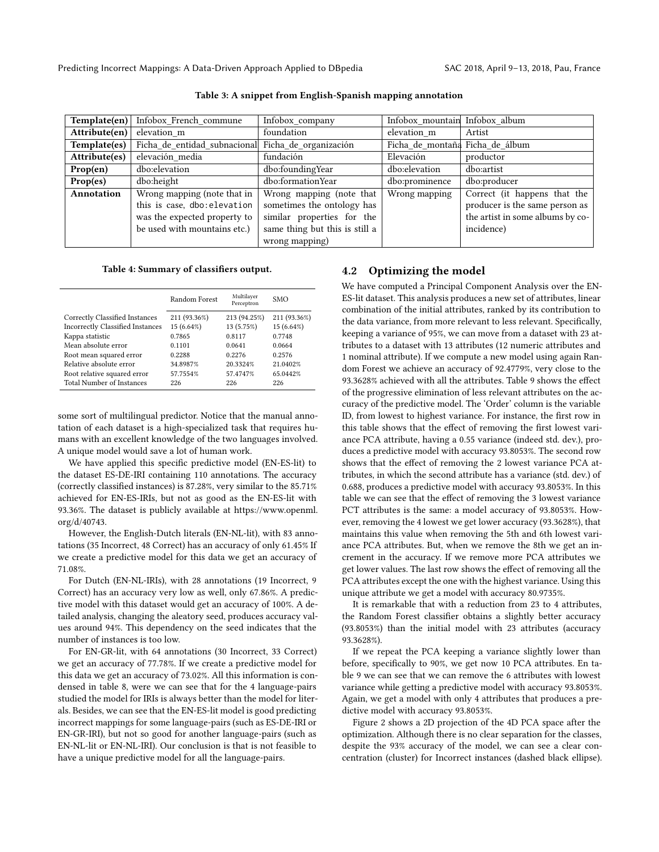<span id="page-4-0"></span>Predicting Incorrect Mappings: A Data-Driven Approach Applied to DBpedia SAC 2018, April 9–13, 2018, Pau, France

| Template(en)  | Infobox French commune                              | Infobox_company                | Infobox_mountain Infobox_album  |                                  |
|---------------|-----------------------------------------------------|--------------------------------|---------------------------------|----------------------------------|
| Attribute(en) | elevation m                                         | foundation                     | elevation m                     | Artist                           |
| Template(es)  | Ficha_de_entidad_subnacional  Ficha_de_organización |                                | Ficha de montaña Ficha de álbum |                                  |
| Attribute(es) | elevación_media                                     | fundación                      | Elevación                       | productor                        |
| Prop(en)      | dbo:elevation                                       | dbo:foundingYear               | dbo:elevation                   | dbo:artist                       |
| Prop(es)      | dbo:height                                          | dbo:formationYear              | dbo:prominence                  | dbo:producer                     |
| Annotation    | Wrong mapping (note that in                         | Wrong mapping (note that       | Wrong mapping                   | Correct (it happens that the     |
|               | this is case, dbo: elevation                        | sometimes the ontology has     |                                 | producer is the same person as   |
|               | was the expected property to                        | similar properties for the     |                                 | the artist in some albums by co- |
|               | be used with mountains etc.)                        | same thing but this is still a |                                 | incidence)                       |
|               |                                                     | wrong mapping)                 |                                 |                                  |

**Table 3: A snippet from English-Spanish mapping annotation**

**Table 4: Summary of classifiers output.**

<span id="page-4-1"></span>

| Random Forest | Multilayer<br>Perceptron | <b>SMO</b>   |
|---------------|--------------------------|--------------|
| 211 (93.36%)  | 213 (94.25%)             | 211 (93.36%) |
| 15 (6.64%)    | 13 (5.75%)               | 15 (6.64%)   |
| 0.7865        | 0.8117                   | 0.7748       |
| 0.1101        | 0.0641                   | 0.0664       |
| 0.2288        | 0.2276                   | 0.2576       |
| 34.8987%      | 20.3324%                 | 21.0402%     |
| 57.7554%      | 57.4747%                 | 65.0442%     |
| 226           | 226                      | 226          |
|               |                          |              |

some sort of multilingual predictor. Notice that the manual annotation of each dataset is a high-specialized task that requires humans with an excellent knowledge of the two languages involved. A unique model would save a lot of human work.

We have applied this specific predictive model (EN-ES-lit) to the dataset ES-DE-IRI containing 110 annotations. The accuracy (correctly classified instances) is 87.28%, very similar to the 85.71% achieved for EN-ES-IRIs, but not as good as the EN-ES-lit with 93.36%. The dataset is publicly available at [https://www.openml.](https://www.openml.org/d/40743) [org/d/40743](https://www.openml.org/d/40743).

However, the English-Dutch literals (EN-NL-lit), with 83 annotations (35 Incorrect, 48 Correct) has an accuracy of only 61.45% If we create a predictive model for this data we get an accuracy of 71.08%.

For Dutch (EN-NL-IRIs), with 28 annotations (19 Incorrect, 9 Correct) has an accuracy very low as well, only 67.86%. A predictive model with this dataset would get an accuracy of 100%. A detailed analysis, changing the aleatory seed, produces accuracy values around 94%. This dependency on the seed indicates that the number of instances is too low.

For EN-GR-lit, with 64 annotations (30 Incorrect, 33 Correct) we get an accuracy of 77.78%. If we create a predictive model for this data we get an accuracy of 73.02%. All this information is condensed in table [8](#page-6-0), were we can see that for the 4 language-pairs studied the model for IRIs is always better than the model for literals. Besides, we can see that the EN-ES-lit model is good predicting incorrect mappings for some language-pairs (such as ES-DE-IRI or EN-GR-IRI), but not so good for another language-pairs (such as EN-NL-lit or EN-NL-IRI). Our conclusion is that is not feasible to have a unique predictive model for all the language-pairs.

## **4.2 Optimizing the model**

We have computed a Principal Component Analysis over the EN-ES-lit dataset. This analysis produces a new set of attributes, linear combination of the initial attributes, ranked by its contribution to the data variance, from more relevant to less relevant. Specifically, keeping a variance of 95%, we can move from a dataset with 23 attributes to a dataset with 13 attributes (12 numeric attributes and 1 nominal attribute). If we compute a new model using again Random Forest we achieve an accuracy of 92.4779%, very close to the 93.3628% achieved with all the attributes. Table [9](#page-6-1) shows the effect of the progressive elimination of less relevant attributes on the accuracy of the predictive model. The 'Order' column is the variable ID, from lowest to highest variance. For instance, the first row in this table shows that the effect of removing the first lowest variance PCA attribute, having a 0.55 variance (indeed std. dev.), produces a predictive model with accuracy 93.8053%. The second row shows that the effect of removing the 2 lowest variance PCA attributes, in which the second attribute has a variance (std. dev.) of 0.688, produces a predictive model with accuracy 93.8053%. In this table we can see that the effect of removing the 3 lowest variance PCT attributes is the same: a model accuracy of 93.8053%. However, removing the 4 lowest we get lower accuracy (93.3628%), that maintains this value when removing the 5th and 6th lowest variance PCA attributes. But, when we remove the 8th we get an increment in the accuracy. If we remove more PCA attributes we get lower values. The last row shows the effect of removing all the PCA attributes except the one with the highest variance. Using this unique attribute we get a model with accuracy 80.9735%.

It is remarkable that with a reduction from 23 to 4 attributes, the Random Forest classifier obtains a slightly better accuracy (93.8053%) than the initial model with 23 attributes (accuracy 93.3628%).

If we repeat the PCA keeping a variance slightly lower than before, specifically to 90%, we get now 10 PCA attributes. En table [9](#page-6-1) we can see that we can remove the 6 attributes with lowest variance while getting a predictive model with accuracy 93.8053%. Again, we get a model with only 4 attributes that produces a predictive model with accuracy 93.8053%.

Figure [2](#page-6-2) shows a 2D projection of the 4D PCA space after the optimization. Although there is no clear separation for the classes, despite the 93% accuracy of the model, we can see a clear concentration (cluster) for Incorrect instances (dashed black ellipse).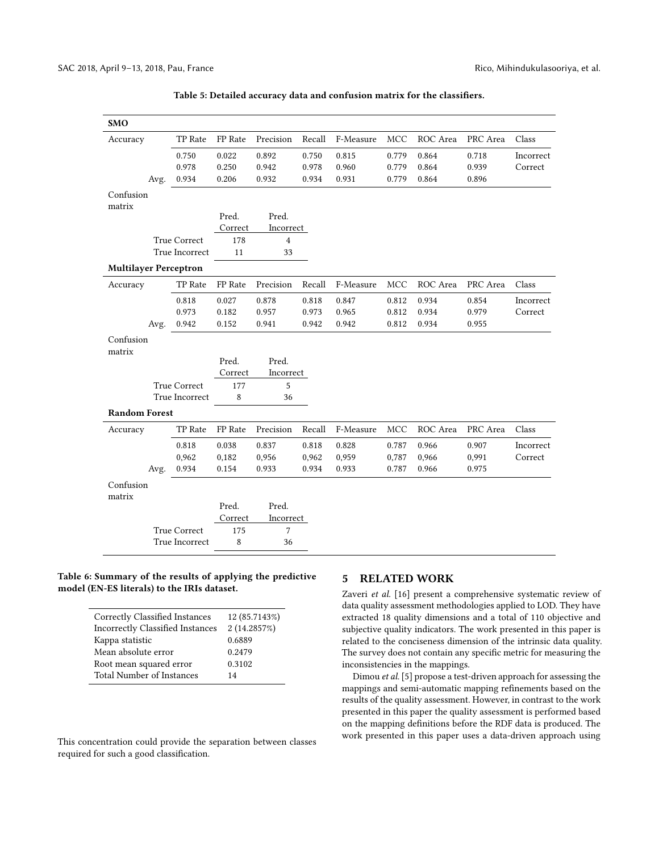<span id="page-5-0"></span>

| <b>SMO</b>                   |      |                     |         |            |        |           |            |          |          |           |
|------------------------------|------|---------------------|---------|------------|--------|-----------|------------|----------|----------|-----------|
| Accuracy                     |      | TP Rate             | FP Rate | Precision  | Recall | F-Measure | <b>MCC</b> | ROC Area | PRC Area | Class     |
|                              |      | 0.750               | 0.022   | 0.892      | 0.750  | 0.815     | 0.779      | 0.864    | 0.718    | Incorrect |
|                              |      | 0.978               | 0.250   | 0.942      | 0.978  | 0.960     | 0.779      | 0.864    | 0.939    | Correct   |
|                              | Avg. | 0.934               | 0.206   | 0.932      | 0.934  | 0.931     | 0.779      | 0.864    | 0.896    |           |
| Confusion                    |      |                     |         |            |        |           |            |          |          |           |
| matrix                       |      |                     |         |            |        |           |            |          |          |           |
|                              |      |                     | Pred.   | Pred.      |        |           |            |          |          |           |
|                              |      |                     | Correct | Incorrect  |        |           |            |          |          |           |
|                              |      | True Correct        | 178     | $\sqrt{4}$ |        |           |            |          |          |           |
|                              |      | True Incorrect      | 11      | 33         |        |           |            |          |          |           |
| <b>Multilayer Perceptron</b> |      |                     |         |            |        |           |            |          |          |           |
| Accuracy                     |      | TP Rate             | FP Rate | Precision  | Recall | F-Measure | MCC        | ROC Area | PRC Area | Class     |
|                              |      | 0.818               | 0.027   | 0.878      | 0.818  | 0.847     | 0.812      | 0.934    | 0.854    | Incorrect |
|                              |      | 0.973               | 0.182   | 0.957      | 0.973  | 0.965     | 0.812      | 0.934    | 0.979    | Correct   |
|                              | Avg. | 0.942               | 0.152   | 0.941      | 0.942  | 0.942     | 0.812      | 0.934    | 0.955    |           |
| Confusion                    |      |                     |         |            |        |           |            |          |          |           |
| matrix                       |      |                     |         |            |        |           |            |          |          |           |
|                              |      |                     | Pred.   | Pred.      |        |           |            |          |          |           |
|                              |      |                     | Correct | Incorrect  |        |           |            |          |          |           |
|                              |      | <b>True Correct</b> | 177     | 5          |        |           |            |          |          |           |
|                              |      | True Incorrect      | 8       | 36         |        |           |            |          |          |           |
| <b>Random Forest</b>         |      |                     |         |            |        |           |            |          |          |           |
| Accuracy                     |      | TP Rate             | FP Rate | Precision  | Recall | F-Measure | MCC        | ROC Area | PRC Area | Class     |
|                              |      | 0.818               | 0.038   | 0.837      | 0.818  | 0.828     | 0.787      | 0.966    | 0.907    | Incorrect |
|                              |      | 0,962               | 0,182   | 0,956      | 0,962  | 0,959     | 0,787      | 0,966    | 0,991    | Correct   |
|                              | Avg. | 0.934               | 0.154   | 0.933      | 0.934  | 0.933     | 0.787      | 0.966    | 0.975    |           |
| Confusion<br>matrix          |      |                     |         |            |        |           |            |          |          |           |
|                              |      |                     | Pred.   | Pred.      |        |           |            |          |          |           |
|                              |      |                     | Correct | Incorrect  |        |           |            |          |          |           |
|                              |      | <b>True Correct</b> | 175     | 7          |        |           |            |          |          |           |
|                              |      | True Incorrect      | 8       | 36         |        |           |            |          |          |           |
|                              |      |                     |         |            |        |           |            |          |          |           |

**Table 5: Detailed accuracy data and confusion matrix for the classifiers.**

#### **Table 6: Summary of the results of applying the predictive model (EN-ES literals) to the IRIs dataset.**

| Correctly Classified Instances          | 12 (85.7143%) |
|-----------------------------------------|---------------|
| <b>Incorrectly Classified Instances</b> | 2 (14.2857%)  |
| Kappa statistic                         | 0.6889        |
| Mean absolute error                     | 0.2479        |
| Root mean squared error                 | 0.3102        |
| <b>Total Number of Instances</b>        | 14            |

This concentration could provide the separation between classes required for such a good classification.

#### **5 RELATED WORK**

Zaveri *et al.* [[16](#page-7-5)] present a comprehensive systematic review of data quality assessment methodologies applied to LOD. They have extracted 18 quality dimensions and a total of 110 objective and subjective quality indicators. The work presented in this paper is related to the conciseness dimension of the intrinsic data quality. The survey does not contain any specific metric for measuring the inconsistencies in the mappings.

Dimou *et al.* [\[5](#page-7-6)] propose a test-driven approach for assessing the mappings and semi-automatic mapping refinements based on the results of the quality assessment. However, in contrast to the work presented in this paper the quality assessment is performed based on the mapping definitions before the RDF data is produced. The work presented in this paper uses a data-driven approach using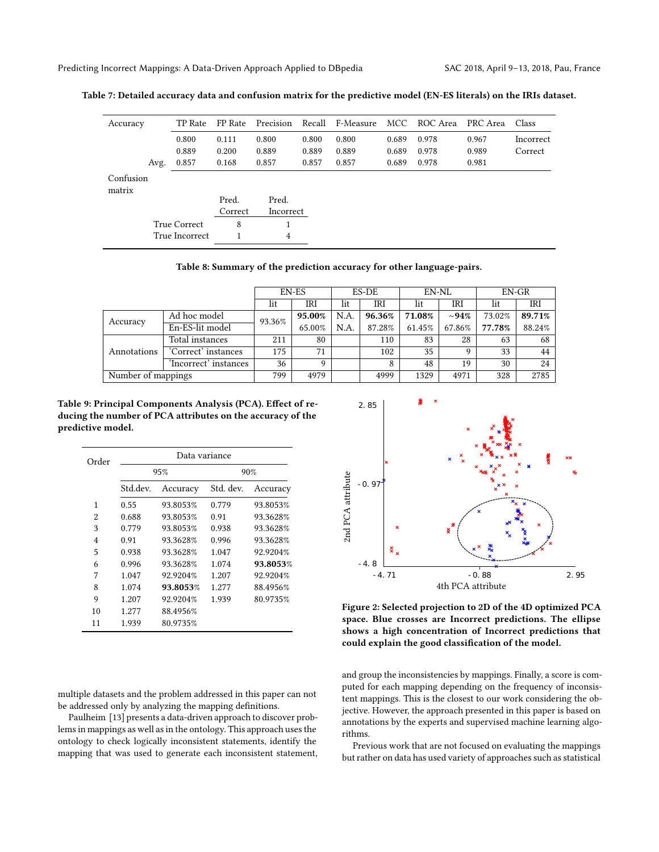Predicting Incorrect Mappings: A Data-Driven Approach Applied to DBpedia SAC 2018, April 9–13, 2018, Pau, France

| Accuracy  |      | TP Rate        | FP Rate | Precision |       | Recall F-Measure |       | MCC ROC Area | PRC Area | Class     |
|-----------|------|----------------|---------|-----------|-------|------------------|-------|--------------|----------|-----------|
|           |      | 0.800          | 0.111   | 0.800     | 0.800 | 0.800            | 0.689 | 0.978        | 0.967    | Incorrect |
|           |      | 0.889          | 0.200   | 0.889     | 0.889 | 0.889            | 0.689 | 0.978        | 0.989    | Correct   |
|           | Avg. | 0.857          | 0.168   | 0.857     | 0.857 | 0.857            | 0.689 | 0.978        | 0.981    |           |
| Confusion |      |                |         |           |       |                  |       |              |          |           |
| matrix    |      |                |         |           |       |                  |       |              |          |           |
|           |      |                | Pred.   | Pred.     |       |                  |       |              |          |           |
|           |      |                | Correct | Incorrect |       |                  |       |              |          |           |
|           |      | True Correct   | 8       |           |       |                  |       |              |          |           |
|           |      | True Incorrect |         | 4         |       |                  |       |              |          |           |

**Table 7: Detailed accuracy data and confusion matrix for the predictive model (EN-ES literals) on the IRIs dataset.**

**Table 8: Summary of the prediction accuracy for other language-pairs.**

<span id="page-6-0"></span>

|                    |                       | EN-ES  |        | ES-DE |        | EN-NL  |            | EN-GR  |        |
|--------------------|-----------------------|--------|--------|-------|--------|--------|------------|--------|--------|
|                    |                       | lit    | IRI    | lit   | IRI    | lit    | IRI        | lit    | IRI    |
|                    | Ad hoc model          | 93.36% | 95.00% | N.A.  | 96.36% | 71.08% | $\sim$ 94% | 73.02% | 89.71% |
| Accuracy           | En-ES-lit model       |        | 65.00% | N.A.  | 87.28% | 61.45% | 67.86%     | 77.78% | 88.24% |
| Annotations        | Total instances       | 211    | 80     |       | 110    | 83     | 28         | 63     | 68     |
|                    | 'Correct' instances   | 175    | 71     |       | 102    | 35     | q          | 33     | 44     |
|                    | 'Incorrect' instances | 36     | q      |       | 8      | 48     | 19         | 30     | 24     |
| Number of mappings |                       | 799    | 4979   |       | 4999   | 1329   | 4971       | 328    | 2785   |

<span id="page-6-1"></span>**Table 9: Principal Components Analysis (PCA). Effect of reducing the number of PCA attributes on the accuracy of the predictive model.**

| Order | Data variance |          |           |          |  |  |  |
|-------|---------------|----------|-----------|----------|--|--|--|
|       |               | 95%      | 90%       |          |  |  |  |
|       | Std.dev.      | Accuracy | Std. dev. | Accuracy |  |  |  |
| 1     | 0.55          | 93.8053% | 0.779     | 93.8053% |  |  |  |
| 2     | 0.688         | 93.8053% | 0.91      | 93.3628% |  |  |  |
| 3     | 0.779         | 93.8053% | 0.938     | 93.3628% |  |  |  |
| 4     | 0.91          | 93.3628% | 0.996     | 93.3628% |  |  |  |
| 5     | 0.938         | 93.3628% | 1.047     | 92.9204% |  |  |  |
| 6     | 0.996         | 93.3628% | 1.074     | 93.8053% |  |  |  |
| 7     | 1.047         | 92.9204% | 1.207     | 92.9204% |  |  |  |
| 8     | 1.074         | 93.8053% | 1.277     | 88.4956% |  |  |  |
| 9     | 1.207         | 92.9204% | 1.939     | 80.9735% |  |  |  |
| 10    | 1.277         | 88.4956% |           |          |  |  |  |
| 11    | 1.939         | 80.9735% |           |          |  |  |  |

multiple datasets and the problem addressed in this paper can not be addressed only by analyzing the mapping definitions.

Paulheim [[13\]](#page-7-7) presents a data-driven approach to discover problems in mappings as well as in the ontology. This approach uses the ontology to check logically inconsistent statements, identify the mapping that was used to generate each inconsistent statement,

<span id="page-6-2"></span>

**Figure 2: Selected projection to 2D of the 4D optimized PCA space. Blue crosses are Incorrect predictions. The ellipse shows a high concentration of Incorrect predictions that could explain the good classification of the model.**

and group the inconsistencies by mappings. Finally, a score is computed for each mapping depending on the frequency of inconsistent mappings. This is the closest to our work considering the objective. However, the approach presented in this paper is based on annotations by the experts and supervised machine learning algorithms.

Previous work that are not focused on evaluating the mappings but rather on data has used variety of approaches such as statistical